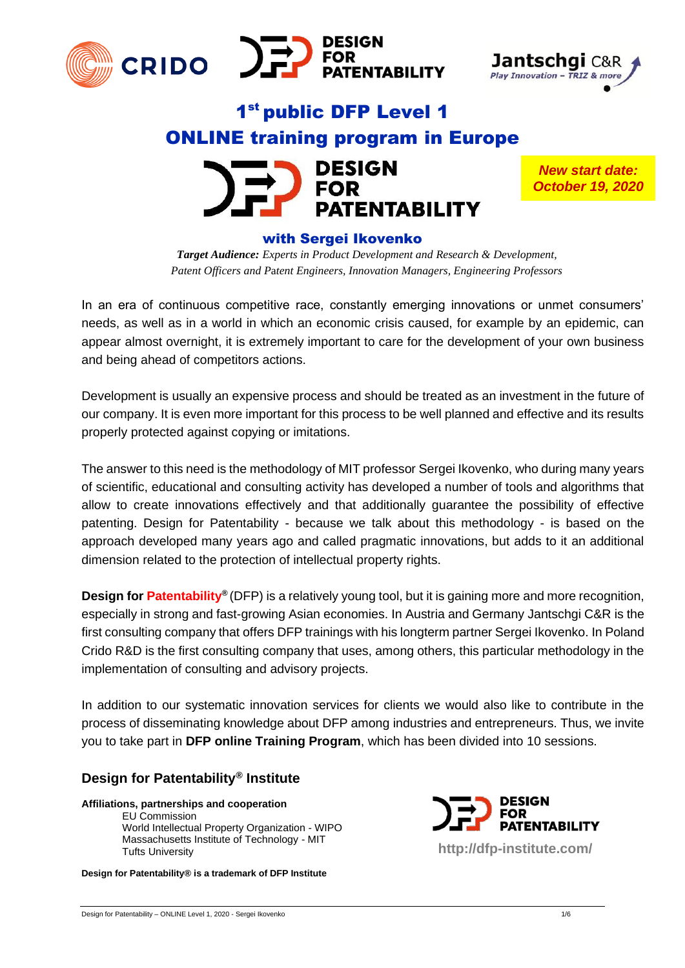



# 1<sup>st</sup> public DFP Level 1 ONLINE training program in Europe **DESIGN**



*New start date: October 19, 2020*

# with Sergei Ikovenko

*Target Audience: Experts in Product Development and Research & Development, Patent Officers and P*a*tent Engineers, Innovation Managers, Engineering Professors*

In an era of continuous competitive race, constantly emerging innovations or unmet consumers' needs, as well as in a world in which an economic crisis caused, for example by an epidemic, can appear almost overnight, it is extremely important to care for the development of your own business and being ahead of competitors actions.

Development is usually an expensive process and should be treated as an investment in the future of our company. It is even more important for this process to be well planned and effective and its results properly protected against copying or imitations.

The answer to this need is the methodology of MIT professor Sergei Ikovenko, who during many years of scientific, educational and consulting activity has developed a number of tools and algorithms that allow to create innovations effectively and that additionally guarantee the possibility of effective patenting. Design for Patentability - because we talk about this methodology - is based on the approach developed many years ago and called pragmatic innovations, but adds to it an additional dimension related to the protection of intellectual property rights.

**Design for Patentability®** (DFP) is a relatively young tool, but it is gaining more and more recognition, especially in strong and fast-growing Asian economies. In Austria and Germany Jantschgi C&R is the first consulting company that offers DFP trainings with his longterm partner Sergei Ikovenko. In Poland Crido R&D is the first consulting company that uses, among others, this particular methodology in the implementation of consulting and advisory projects.

In addition to our systematic innovation services for clients we would also like to contribute in the process of disseminating knowledge about DFP among industries and entrepreneurs. Thus, we invite you to take part in **DFP online Training Program**, which has been divided into 10 sessions.

# **Design for Patentability® Institute**

**Affiliations, partnerships and cooperation** EU Commission World Intellectual Property Organization - WIPO Massachusetts Institute of Technology - MIT Tufts University

**ESIGN** PATENTABILITY **http://dfp-institute.com/**

**Design for Patentability® is a trademark of DFP Institute**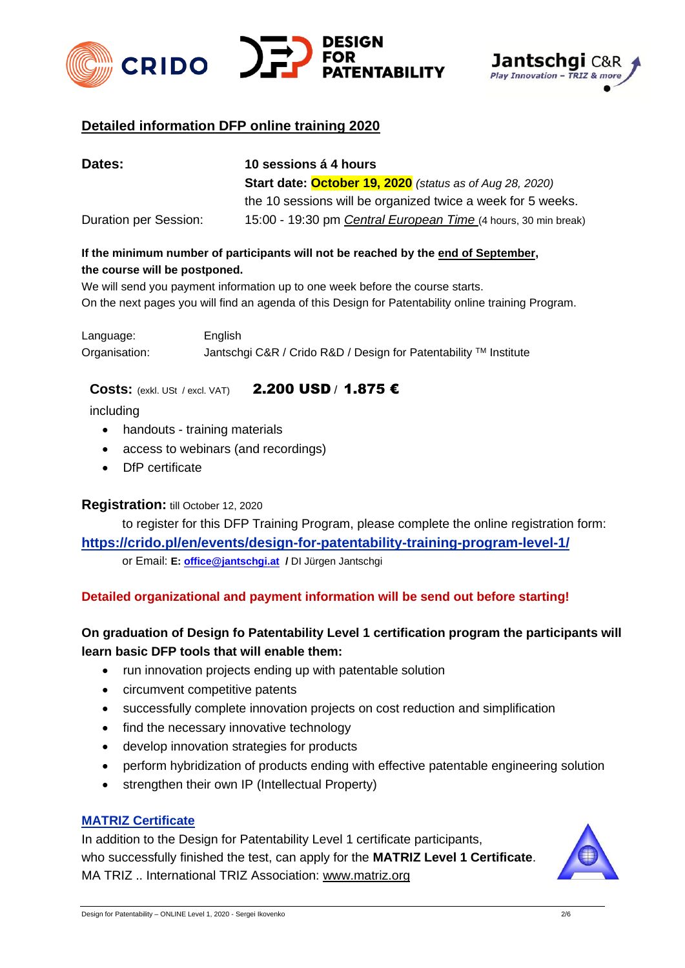





# **Detailed information DFP online training 2020**

| Dates:                | 10 sessions á 4 hours                                                 |
|-----------------------|-----------------------------------------------------------------------|
|                       | <b>Start date: October 19, 2020</b> (status as of Aug 28, 2020)       |
|                       | the 10 sessions will be organized twice a week for 5 weeks.           |
| Duration per Session: | 15:00 - 19:30 pm <i>Central European Time</i> (4 hours, 30 min break) |

# **If the minimum number of participants will not be reached by the end of September, the course will be postponed.**

We will send you payment information up to one week before the course starts. On the next pages you will find an agenda of this Design for Patentability online training Program.

Language: English Organisation: Jantschgi C&R / Crido R&D / Design for Patentability ™ Institute

**Costs:** (exkl. USt / excl. VAT) 2.200 USD / 1.875 €

including

- handouts training materials
- access to webinars (and recordings)
- DfP certificate

#### **Registration:** till October 12, 2020

to register for this DFP Training Program, please complete the online registration form: **<https://crido.pl/en/events/design-for-patentability-training-program-level-1/>** or Email: **E: [office@jantschgi.at](mailto:office@jantschgi.at) /** DI Jürgen Jantschgi

#### **Detailed organizational and payment information will be send out before starting!**

# **On graduation of Design fo Patentability Level 1 certification program the participants will learn basic DFP tools that will enable them:**

- run innovation projects ending up with patentable solution
- circumvent competitive patents
- successfully complete innovation projects on cost reduction and simplification
- find the necessary innovative technology
- develop innovation strategies for products
- perform hybridization of products ending with effective patentable engineering solution
- strengthen their own IP (Intellectual Property)

#### **MATRIZ Certificate**

In addition to the Design for Patentability Level 1 certificate participants, who successfully finished the test, can apply for the **MATRIZ Level 1 Certificate**. MA TRIZ .. International TRIZ Association: [www.matriz.org](http://www.matriz.org/)

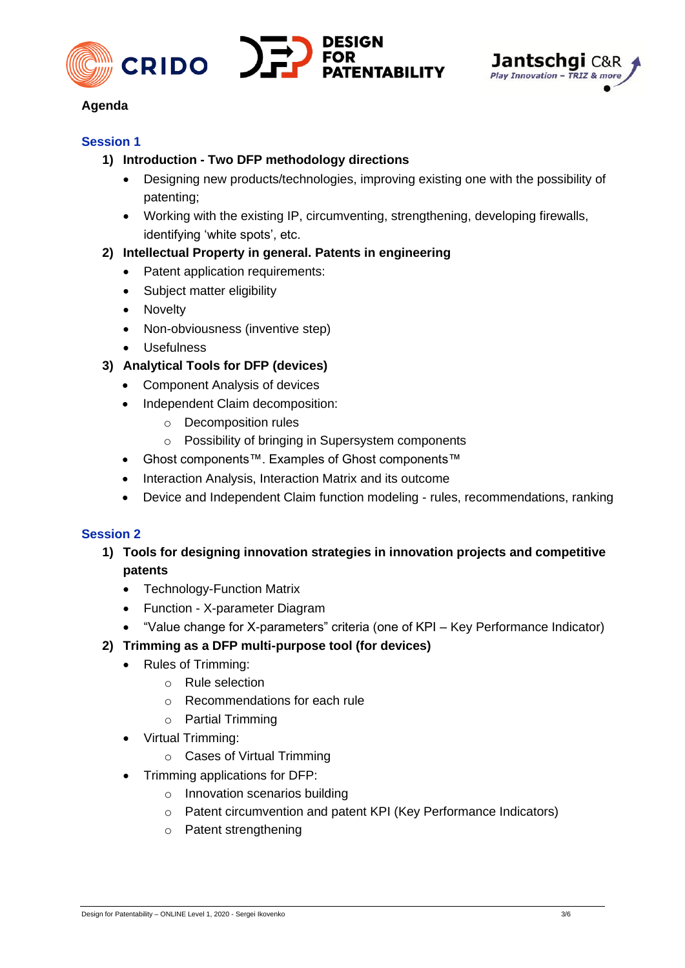





# **Agenda**

## **Session 1**

## **1) Introduction - Two DFP methodology directions**

- Designing new products/technologies, improving existing one with the possibility of patenting;
- Working with the existing IP, circumventing, strengthening, developing firewalls, identifying 'white spots', etc.

# **2) Intellectual Property in general. Patents in engineering**

- Patent application requirements:
- Subject matter eligibility
- Novelty
- Non-obviousness (inventive step)
- Usefulness

# **3) Analytical Tools for DFP (devices)**

- Component Analysis of devices
- Independent Claim decomposition:
	- o Decomposition rules
	- o Possibility of bringing in Supersystem components
- Ghost components™. Examples of Ghost components™
- Interaction Analysis, Interaction Matrix and its outcome
- Device and Independent Claim function modeling rules, recommendations, ranking

#### **Session 2**

- **1) Tools for designing innovation strategies in innovation projects and competitive patents**
	- Technology-Function Matrix
	- Function X-parameter Diagram
	- "Value change for X-parameters" criteria (one of KPI Key Performance Indicator)
- **2) Trimming as a DFP multi-purpose tool (for devices)**
	- Rules of Trimming:
		- o Rule selection
		- o Recommendations for each rule
		- o Partial Trimming
	- Virtual Trimming:
		- o Cases of Virtual Trimming
	- Trimming applications for DFP:
		- o Innovation scenarios building
		- o Patent circumvention and patent KPI (Key Performance Indicators)
		- o Patent strengthening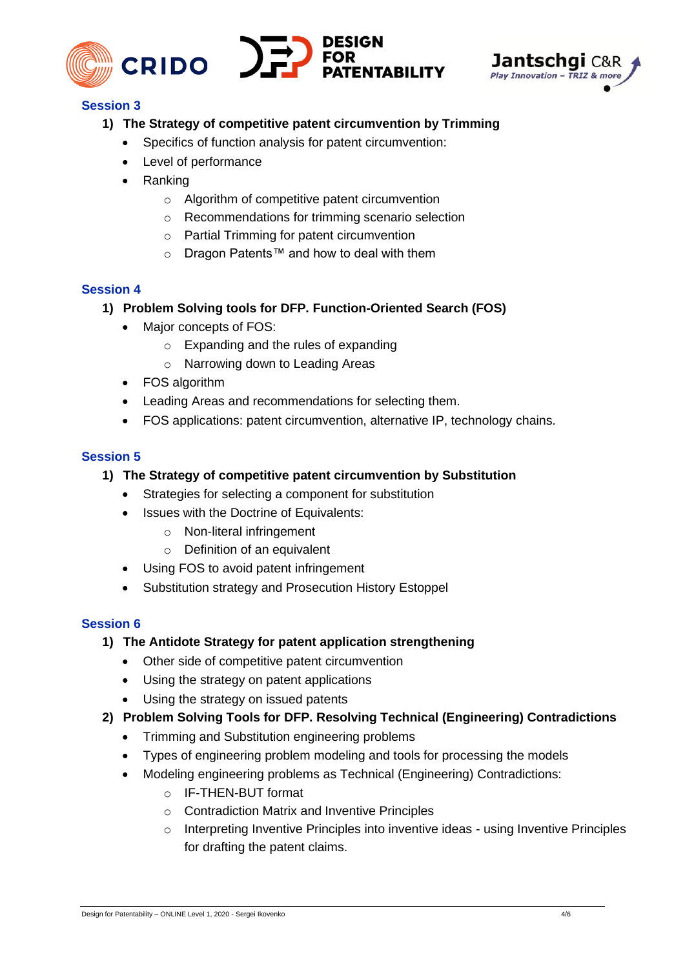





## **Session 3**

## **1) The Strategy of competitive patent circumvention by Trimming**

- Specifics of function analysis for patent circumvention:
- Level of performance
- Ranking
	- o Algorithm of competitive patent circumvention
	- o Recommendations for trimming scenario selection
	- o Partial Trimming for patent circumvention
	- o Dragon Patents™ and how to deal with them

#### **Session 4**

- **1) Problem Solving tools for DFP. Function-Oriented Search (FOS)**
	- Major concepts of FOS:
		- o Expanding and the rules of expanding
		- o Narrowing down to Leading Areas
	- FOS algorithm
	- Leading Areas and recommendations for selecting them.
	- FOS applications: patent circumvention, alternative IP, technology chains.

#### **Session 5**

- **1) The Strategy of competitive patent circumvention by Substitution**
	- Strategies for selecting a component for substitution
	- Issues with the Doctrine of Equivalents:
		- o Non-literal infringement
		- o Definition of an equivalent
	- Using FOS to avoid patent infringement
	- Substitution strategy and Prosecution History Estoppel

#### **Session 6**

#### **1) The Antidote Strategy for patent application strengthening**

- Other side of competitive patent circumvention
- Using the strategy on patent applications
- Using the strategy on issued patents

#### **2) Problem Solving Tools for DFP. Resolving Technical (Engineering) Contradictions**

- Trimming and Substitution engineering problems
- Types of engineering problem modeling and tools for processing the models
- Modeling engineering problems as Technical (Engineering) Contradictions:
	- o IF-THEN-BUT format
	- o Contradiction Matrix and Inventive Principles
	- o Interpreting Inventive Principles into inventive ideas using Inventive Principles for drafting the patent claims.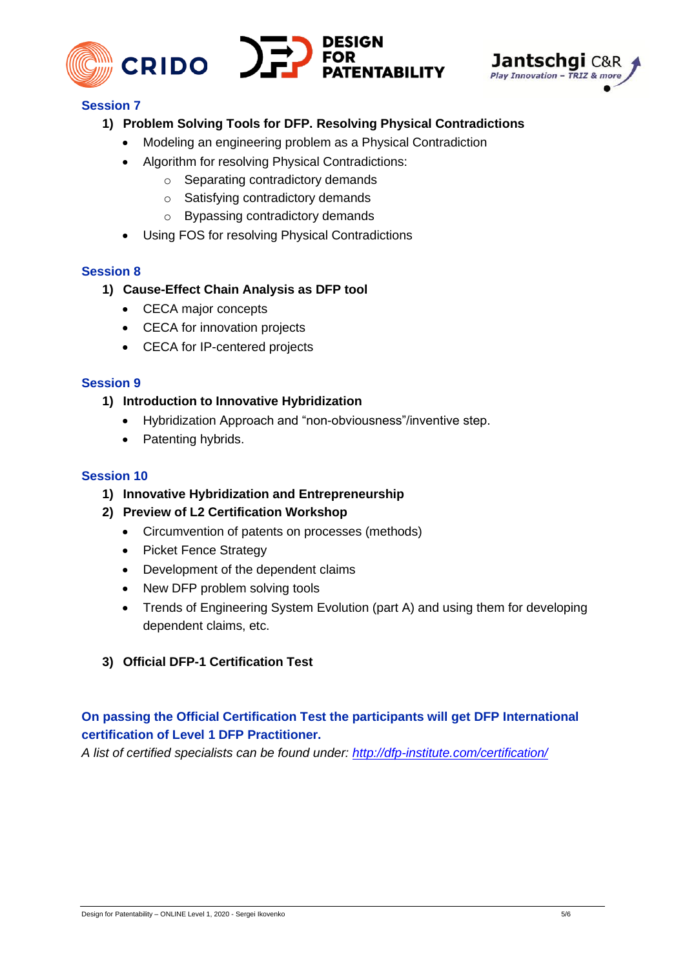





# **Session 7**

## **1) Problem Solving Tools for DFP. Resolving Physical Contradictions**

- Modeling an engineering problem as a Physical Contradiction
- Algorithm for resolving Physical Contradictions:
	- o Separating contradictory demands
	- o Satisfying contradictory demands
	- o Bypassing contradictory demands
- Using FOS for resolving Physical Contradictions

#### **Session 8**

- **1) Cause-Effect Chain Analysis as DFP tool**
	- CECA major concepts
	- CECA for innovation projects
	- CECA for IP-centered projects

#### **Session 9**

#### **1) Introduction to Innovative Hybridization**

- Hybridization Approach and "non-obviousness"/inventive step.
- Patenting hybrids.

#### **Session 10**

- **1) Innovative Hybridization and Entrepreneurship**
- **2) Preview of L2 Certification Workshop**
	- Circumvention of patents on processes (methods)
	- Picket Fence Strategy
	- Development of the dependent claims
	- New DFP problem solving tools
	- Trends of Engineering System Evolution (part A) and using them for developing dependent claims, etc.

#### **3) Official DFP-1 Certification Test**

# **On passing the Official Certification Test the participants will get DFP International certification of Level 1 DFP Practitioner.**

*A list of certified specialists can be found under:<http://dfp-institute.com/certification/>*